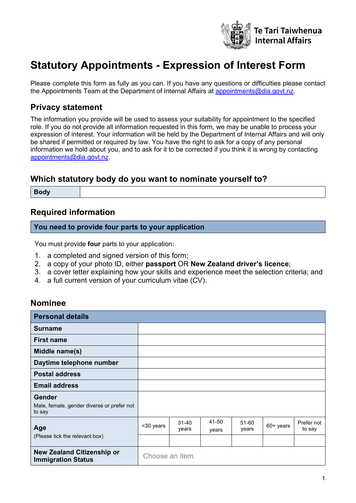

# **Statutory Appointments - Expression of Interest Form**

Please complete this form as fully as you can. If you have any questions or difficulties please contact the Appointments Team at the Department of Internal Affairs at [appointments@dia.govt.nz.](mailto:appointments@dia.govt.nz)

# **Privacy statement**

The information you provide will be used to assess your suitability for appointment to the specified role. If you do not provide all information requested in this form, we may be unable to process your expression of interest. Your information will be held by the Department of Internal Affairs and will only be shared if permitted or required by law. You have the right to ask for a copy of any personal information we hold about you, and to ask for it to be corrected if you think it is wrong by contacting [appointments@dia.govt.nz.](mailto:appointments@dia.govt.nz)

# **Which statutory body do you want to nominate yourself to?**

**Body**

## **Required information**

#### **You need to provide four parts to your application**

You must provide **four** parts to your application:

- 1. a completed and signed version of this form;
- 2. a copy of your photo ID, either **passport** OR **New Zealand driver's licence**;
- 3. a cover letter explaining how your skills and experience meet the selection criteria; and
- 4. a full current version of your curriculum vitae (CV).

## **Nominee**

| <b>Personal details</b>                                               |                 |                    |                |                |             |                      |
|-----------------------------------------------------------------------|-----------------|--------------------|----------------|----------------|-------------|----------------------|
| Surname                                                               |                 |                    |                |                |             |                      |
| <b>First name</b>                                                     |                 |                    |                |                |             |                      |
| Middle name(s)                                                        |                 |                    |                |                |             |                      |
| Daytime telephone number                                              |                 |                    |                |                |             |                      |
| <b>Postal address</b>                                                 |                 |                    |                |                |             |                      |
| <b>Email address</b>                                                  |                 |                    |                |                |             |                      |
| <b>Gender</b><br>Male, female, gender diverse or prefer not<br>to say |                 |                    |                |                |             |                      |
| Age                                                                   | <30 years       | $31 - 40$<br>years | 41-50<br>years | 51-60<br>years | $60+$ years | Prefer not<br>to say |
| (Please tick the relevant box)                                        |                 |                    |                |                |             |                      |
| <b>New Zealand Citizenship or</b><br><b>Immigration Status</b>        | Choose an item. |                    |                |                |             |                      |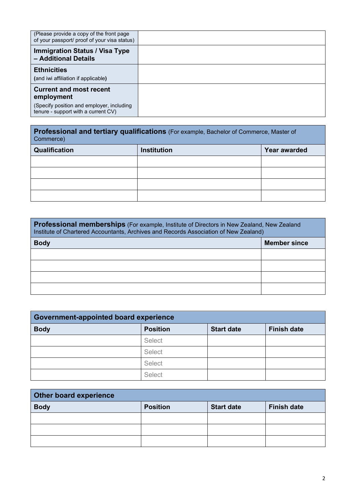| (Please provide a copy of the front page<br>of your passport/ proof of your visa status) |  |
|------------------------------------------------------------------------------------------|--|
| <b>Immigration Status / Visa Type</b><br>- Additional Details                            |  |
| <b>Ethnicities</b>                                                                       |  |
| (and iwi affiliation if applicable)                                                      |  |
| <b>Current and most recent</b><br>employment                                             |  |
| (Specify position and employer, including<br>tenure - support with a current CV)         |  |

**Professional and tertiary qualifications** (For example, Bachelor of Commerce, Master of Commerce)

| Qualification | Institution | Year awarded |
|---------------|-------------|--------------|
|               |             |              |
|               |             |              |
|               |             |              |
|               |             |              |

| <b>Professional memberships</b> (For example, Institute of Directors in New Zealand, New Zealand<br>Institute of Chartered Accountants, Archives and Records Association of New Zealand) |                     |  |
|------------------------------------------------------------------------------------------------------------------------------------------------------------------------------------------|---------------------|--|
| <b>Body</b>                                                                                                                                                                              | <b>Member since</b> |  |
|                                                                                                                                                                                          |                     |  |
|                                                                                                                                                                                          |                     |  |
|                                                                                                                                                                                          |                     |  |
|                                                                                                                                                                                          |                     |  |

| Government-appointed board experience |                 |                   |                    |
|---------------------------------------|-----------------|-------------------|--------------------|
| <b>Body</b>                           | <b>Position</b> | <b>Start date</b> | <b>Finish date</b> |
|                                       | Select          |                   |                    |
|                                       | Select          |                   |                    |
|                                       | Select          |                   |                    |
|                                       | Select          |                   |                    |

| <b>Other board experience</b> |                 |                   |                    |
|-------------------------------|-----------------|-------------------|--------------------|
| <b>Body</b>                   | <b>Position</b> | <b>Start date</b> | <b>Finish date</b> |
|                               |                 |                   |                    |
|                               |                 |                   |                    |
|                               |                 |                   |                    |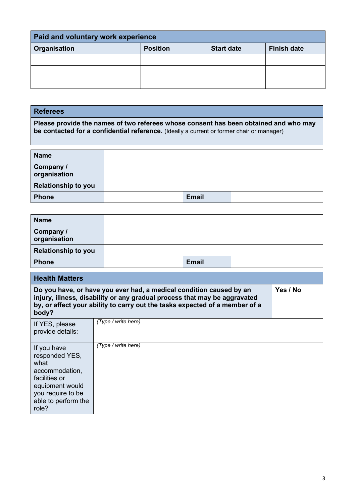| <b>Paid and voluntary work experience</b> |                 |                   |                    |
|-------------------------------------------|-----------------|-------------------|--------------------|
| <b>Organisation</b>                       | <b>Position</b> | <b>Start date</b> | <b>Finish date</b> |
|                                           |                 |                   |                    |
|                                           |                 |                   |                    |
|                                           |                 |                   |                    |

### **Referees**

**Please provide the names of two referees whose consent has been obtained and who may be contacted for a confidential reference.** (Ideally a current or former chair or manager)

| <b>Name</b>                |              |  |
|----------------------------|--------------|--|
| Company /<br>organisation  |              |  |
| <b>Relationship to you</b> |              |  |
| <b>Phone</b>               | <b>Email</b> |  |

| <b>Name</b>                |       |  |
|----------------------------|-------|--|
| Company /<br>organisation  |       |  |
| <b>Relationship to you</b> |       |  |
| <b>Phone</b>               | Email |  |

| <b>Health Matters</b>                                                                                                                            |                                                                                                                                                                                                                                 |          |  |
|--------------------------------------------------------------------------------------------------------------------------------------------------|---------------------------------------------------------------------------------------------------------------------------------------------------------------------------------------------------------------------------------|----------|--|
| body?                                                                                                                                            | Do you have, or have you ever had, a medical condition caused by an<br>injury, illness, disability or any gradual process that may be aggravated<br>by, or affect your ability to carry out the tasks expected of a member of a | Yes / No |  |
| If YES, please<br>provide details:                                                                                                               | (Type / write here)                                                                                                                                                                                                             |          |  |
| If you have<br>responded YES,<br>what<br>accommodation,<br>facilities or<br>equipment would<br>you require to be<br>able to perform the<br>role? | (Type / write here)                                                                                                                                                                                                             |          |  |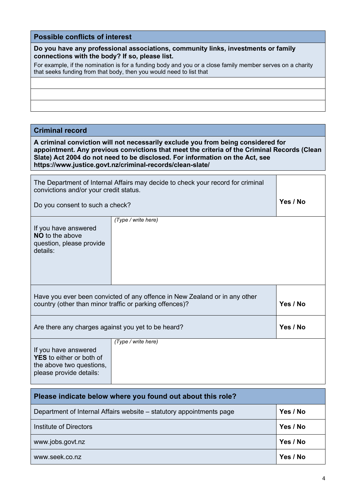## **Possible conflicts of interest**

| Do you have any professional associations, community links, investments or family |  |
|-----------------------------------------------------------------------------------|--|
| connections with the body? If so, please list.                                    |  |

For example, if the nomination is for a funding body and you or a close family member serves on a charity that seeks funding from that body, then you would need to list that

#### **Criminal record**

**A criminal conviction will not necessarily exclude you from being considered for appointment. Any previous convictions that meet the criteria of the Criminal Records (Clean Slate) Act 2004 do not need to be disclosed. For information on the Act, see https://www.justice.govt.nz/criminal-records/clean-slate/**

| The Department of Internal Affairs may decide to check your record for criminal<br>convictions and/or your credit status.                         |                     |          |
|---------------------------------------------------------------------------------------------------------------------------------------------------|---------------------|----------|
| Do you consent to such a check?                                                                                                                   |                     | Yes / No |
| If you have answered<br><b>NO</b> to the above<br>question, please provide<br>details:                                                            | (Type / write here) |          |
| Have you ever been convicted of any offence in New Zealand or in any other<br>Yes / No<br>country (other than minor traffic or parking offences)? |                     |          |
| Are there any charges against you yet to be heard?                                                                                                | Yes / No            |          |
| (Type / write here)<br>If you have answered<br><b>YES</b> to either or both of<br>the above two questions,<br>please provide details:             |                     |          |
|                                                                                                                                                   |                     |          |

| Please indicate below where you found out about this role?           |          |
|----------------------------------------------------------------------|----------|
| Department of Internal Affairs website – statutory appointments page | Yes / No |
| Institute of Directors                                               | Yes / No |
| www.jobs.govt.nz                                                     | Yes / No |
| www.seek.co.nz                                                       | Yes / No |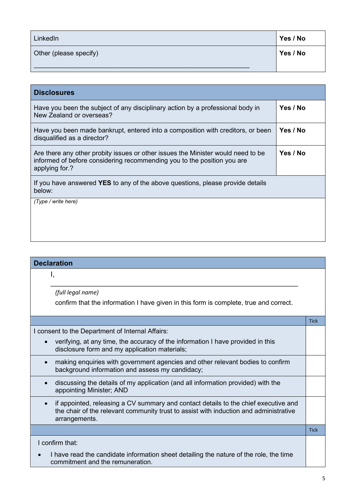| LinkedIn               | Yes / No |
|------------------------|----------|
| Other (please specify) | Yes / No |
|                        |          |

| <b>Disclosures</b>                                                                                                                                                            |          |
|-------------------------------------------------------------------------------------------------------------------------------------------------------------------------------|----------|
| Have you been the subject of any disciplinary action by a professional body in<br>New Zealand or overseas?                                                                    | Yes / No |
| Have you been made bankrupt, entered into a composition with creditors, or been<br>disqualified as a director?                                                                | Yes / No |
| Are there any other probity issues or other issues the Minister would need to be<br>informed of before considering recommending you to the position you are<br>applying for.? | Yes / No |
| If you have answered YES to any of the above questions, please provide details<br>below:                                                                                      |          |
| (Type / write here)                                                                                                                                                           |          |
|                                                                                                                                                                               |          |
|                                                                                                                                                                               |          |

| <b>Declaration</b>                                                                                                                                                                            |             |
|-----------------------------------------------------------------------------------------------------------------------------------------------------------------------------------------------|-------------|
| Ι,                                                                                                                                                                                            |             |
| (full legal name)                                                                                                                                                                             |             |
| confirm that the information I have given in this form is complete, true and correct.                                                                                                         |             |
|                                                                                                                                                                                               | <b>Tick</b> |
| I consent to the Department of Internal Affairs:                                                                                                                                              |             |
| verifying, at any time, the accuracy of the information I have provided in this<br>disclosure form and my application materials;                                                              |             |
| making enquiries with government agencies and other relevant bodies to confirm<br>background information and assess my candidacy;                                                             |             |
| discussing the details of my application (and all information provided) with the<br>appointing Minister; AND                                                                                  |             |
| if appointed, releasing a CV summary and contact details to the chief executive and<br>the chair of the relevant community trust to assist with induction and administrative<br>arrangements. |             |
|                                                                                                                                                                                               | <b>Tick</b> |
| I confirm that:                                                                                                                                                                               |             |
| I have read the candidate information sheet detailing the nature of the role, the time<br>commitment and the remuneration.                                                                    |             |